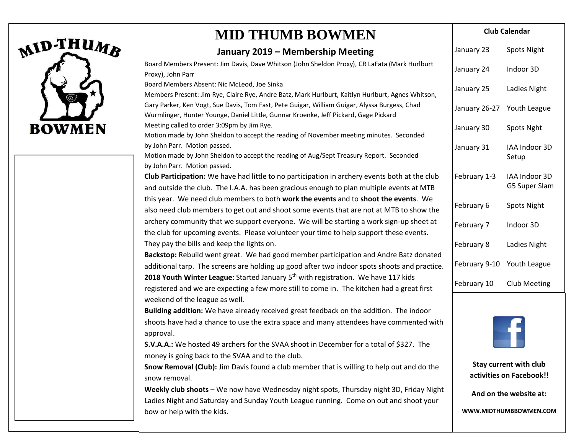

bow or help with the kids.

## **MID THUMB BOWMEN**

#### **January 2019 – Membership Meeting**

| Board Members Present: Jim Davis, Dave Whitson (John Sheldon Proxy), CR LaFata (Mark Hurlburt<br>Proxy), John Parr                                                                    | January 24             | Indoor 3D                |
|---------------------------------------------------------------------------------------------------------------------------------------------------------------------------------------|------------------------|--------------------------|
| Board Members Absent: Nic McLeod, Joe Sinka<br>Members Present: Jim Rye, Claire Rye, Andre Batz, Mark Hurlburt, Kaitlyn Hurlburt, Agnes Whitson,                                      | January 25             | Ladies Night             |
| Gary Parker, Ken Vogt, Sue Davis, Tom Fast, Pete Guigar, William Guigar, Alyssa Burgess, Chad<br>Wurmlinger, Hunter Younge, Daniel Little, Gunnar Kroenke, Jeff Pickard, Gage Pickard | January 26-27          | Youth League             |
| Meeting called to order 3:09pm by Jim Rye.                                                                                                                                            | January 30             | Spots Nght               |
| Motion made by John Sheldon to accept the reading of November meeting minutes. Seconded<br>by John Parr. Motion passed.                                                               |                        |                          |
| Motion made by John Sheldon to accept the reading of Aug/Sept Treasury Report. Seconded                                                                                               | January 31             | IAA Indoor 3D<br>Setup   |
| by John Parr. Motion passed.                                                                                                                                                          |                        |                          |
| Club Participation: We have had little to no participation in archery events both at the club                                                                                         | February 1-3           | IAA Indoor 3D            |
| and outside the club. The I.A.A. has been gracious enough to plan multiple events at MTB                                                                                              |                        | G5 Super Slam            |
| this year. We need club members to both work the events and to shoot the events. We                                                                                                   | February 6             | <b>Spots Night</b>       |
| also need club members to get out and shoot some events that are not at MTB to show the                                                                                               |                        |                          |
| archery community that we support everyone. We will be starting a work sign-up sheet at                                                                                               | February 7             | Indoor 3D                |
| the club for upcoming events. Please volunteer your time to help support these events.                                                                                                |                        |                          |
| They pay the bills and keep the lights on.                                                                                                                                            | February 8             | Ladies Night             |
| Backstop: Rebuild went great. We had good member participation and Andre Batz donated                                                                                                 |                        |                          |
| additional tarp. The screens are holding up good after two indoor spots shoots and practice.                                                                                          | February 9-10          | Youth League             |
| 2018 Youth Winter League: Started January 5 <sup>th</sup> with registration. We have 117 kids                                                                                         |                        |                          |
| registered and we are expecting a few more still to come in. The kitchen had a great first                                                                                            | February 10            | <b>Club Meeting</b>      |
| weekend of the league as well.                                                                                                                                                        |                        |                          |
| Building addition: We have already received great feedback on the addition. The indoor                                                                                                |                        |                          |
| shoots have had a chance to use the extra space and many attendees have commented with<br>approval.                                                                                   |                        |                          |
| S.V.A.A.: We hosted 49 archers for the SVAA shoot in December for a total of \$327. The<br>money is going back to the SVAA and to the club.                                           |                        |                          |
| Snow Removal (Club): Jim Davis found a club member that is willing to help out and do the                                                                                             | Stay current with club |                          |
| snow removal.                                                                                                                                                                         |                        | activities on Facebook!! |
| Weekly club shoots - We now have Wednesday night spots, Thursday night 3D, Friday Night                                                                                               | And on the website at: |                          |
| Ladies Night and Saturday and Sunday Youth League running. Come on out and shoot your                                                                                                 |                        |                          |
|                                                                                                                                                                                       |                        |                          |

**WWW.MIDTHUMBBOWMEN.COM**

**Club Calendar**

Spots Night

January 23